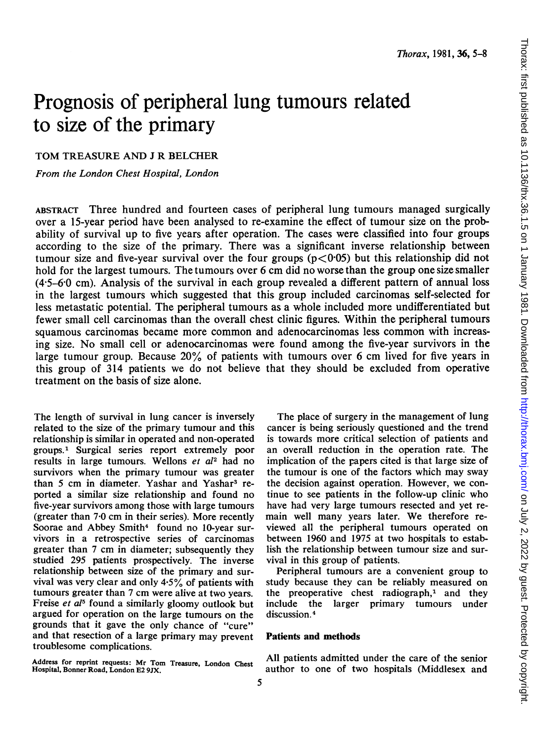# Prognosis of peripheral lung tumours related to size of the primary

TOM TREASURE AND <sup>J</sup> R BELCHER

From the London Chest Hospital, London

ABSTRACT Three hundred and fourteen cases of peripheral lung tumours managed surgically over a 15-year period have been analysed to re-examine the effect of tumour size on the probability of survival up to five years after operation. The cases were classified into four groups according to the size of the primary. There was a significant inverse relationship between tumour size and five-year survival over the four groups ( $p < 0.05$ ) but this relationship did not hold for the largest tumours. The tumours over 6 cm did no worse than the group one size smaller (4 5-6'0 cm). Analysis of the survival in each group revealed a different pattern of annual loss in the largest tumours which suggested that this group included carcinomas self-selected for less metastatic potential. The peripheral tumours as a whole included more undifferentiated but fewer small cell carcinomas than the overall chest clinic figures. Within the peripheral tumours squamous carcinomas became more common and adenocarcinomas less common with increasing size. No small cell or adenocarcinomas were found among the five-year survivors in the large tumour group. Because 20% of patients with tumours over 6 cm lived for five years in this group of 314 patients we do not believe that they should be excluded from operative treatment on the basis of size alone.

The length of survival in lung cancer is inversely related to the size of the primary tumour and this relationship is similar in operated and non-operated groups.' Surgical series report extremely poor results in large tumours. Wellons et al<sup>2</sup> had no survivors when the primary tumour was greater than 5 cm in diameter. Yashar and Yashar<sup>3</sup> reported a similar size relationship and found no five-year survivors among those with large tumours (greater than  $7.0 \text{ cm}$  in their series). More recently Soorae and Abbey Smith<sup>4</sup> found no 10-year survivors in a retrospective series of carcinomas greater than <sup>7</sup> cm in diameter; subsequently they studied 295 patients prospectively. The inverse relationship between size of the primary and survival was very clear and only 4.5% of patients with tumours greater than <sup>7</sup> cm were alive at two years. Freise et al<sup>5</sup> found a similarly gloomy outlook but argued for operation on the large tumours on the grounds that it gave the only chance of "cure" and that resection of a large primary may prevent troublesome complications.

Address for reprint requests: Mr Tom Treasure, London Chest Hospital, Bonner Road, London E2 9JX.

The place of surgery in the management of lung cancer is being seriously questioned and the trend is towards more critical selection of patients and an overall reduction in the operation rate. The implication of the papers cited is that large size of the tumour is one of the factors which may sway the decision against operation. However, we continue to see patients in the follow-up clinic who have had very large tumours resected and yet remain well many years later. We therefore reviewed all the peripheral tumours operated on between 1960 and 1975 at two hospitals to establish the relationship between tumour size and survival in this group of patients.

Peripheral tumours are a convenient group to study because they can be reliably measured on the preoperative chest radiograph, $<sup>1</sup>$  and they</sup> include the larger primary tumours under discussion<sup>4</sup>

### Patients and methods

All patients admitted under the care of the senior author to one of two hospitals (Middlesex and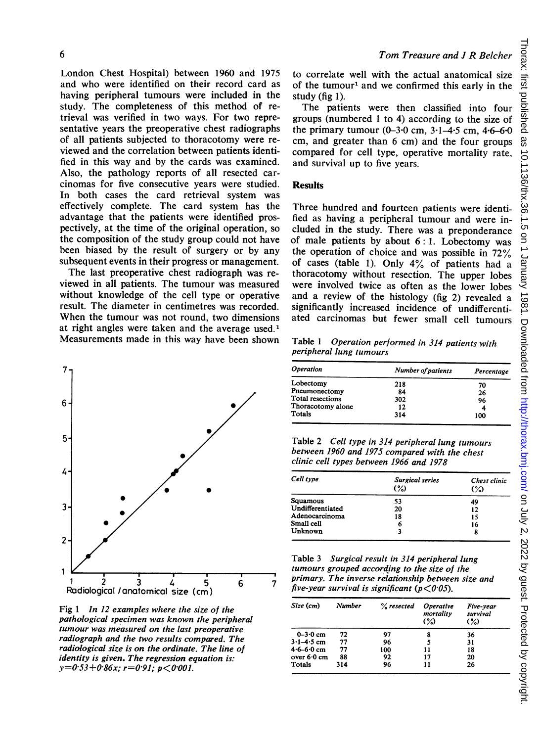London Chest Hospital) between 1960 and 1975 and who were identified on their record card as having peripheral tumours were included in the study. The completeness of this method of retrieval was verified in two ways. For two representative years the preoperative chest radiographs of all patients subjected to thoracotomy were reviewed and the correlation between patients identified in this way and by the cards was examined. Also, the pathology reports of all resected carcinomas for five consecutive years were studied. In both cases the card retrieval system was effectively complete. The card system has the advantage that the patients were identified prospectively, at the time of the original operation, so the composition of the study group could not have been biased by the result of surgery or by any subsequent events in their progress or management.

The last preoperative chest radiograph was reviewed in all patients. The tumour was measured without knowledge of the cell type or operative result. The diameter in centimetres was recorded. When the tumour was not round, two dimensions at right angles were taken and the average used.<sup>1</sup> Measurements made in this way have been shown



Fig <sup>1</sup> In 12 examples where the size of the pathological specimen was known the peripheral tumour was measured on the last preoperative radiograph and the two results compared. The radiological size is on the ordinate. The line of identity is given. The regression equation is:  $y=0.53+0.86x$ ;  $r=0.91$ ;  $p<0.001$ .

to correlate well with the actual anatomical size of the tumour<sup>1</sup> and we confirmed this early in the study (fig 1).

The patients were then classified into four groups (numbered <sup>1</sup> to 4) according to the size of the primary tumour  $(0-3.0 \text{ cm}, 3.1-4.5 \text{ cm}, 4.6-6.0 \text{ cm})$ cm, and greater than <sup>6</sup> cm) and the four groups compared for cell type, operative mortality rate, and survival up to five years.

#### **Results**

Three hundred and fourteen patients were identified as having a peripheral tumour and were included in the study. There was a preponderance of male patients by about 6: 1. Lobectomy was the operation of choice and was possible in 72% of cases (table 1). Only 4% of patients had <sup>a</sup> thoracotomy without resection. The upper lobes were involved twice as often as the lower lobes and a review of the histology (fig 2) revealed a significantly increased incidence of undifferentiated carcinomas but fewer small cell tumours

Table <sup>1</sup> Operation performed in 314 patients with peripheral lung tumours

| <i><b>Operation</b></i> | Number of patients | Percentage |  |
|-------------------------|--------------------|------------|--|
| Lobectomy               | 218                | 70         |  |
| Pneumonectomy           | 84                 | 26         |  |
| Total resections        | 302                | 96         |  |
| Thoracotomy alone       | 12                 | 4          |  |
| <b>Totals</b>           | 314                | 100        |  |

Table 2 Cell type in 314 peripheral lung tumours between 1960 and 1975 compared with the chest clinic cell types between 1966 and 1978

| Cell type        | Surgical series<br>(%) | Chest clinic<br>$\frac{8}{2}$ |
|------------------|------------------------|-------------------------------|
| Squamous         | 53                     | 49                            |
| Undifferentiated | 20                     | 12                            |
| Adenocarcinoma   | 18                     | 15                            |
| Small cell       | 6                      | 16                            |
| Unknown          |                        | 8                             |

Table <sup>3</sup> Surgical result in 314 peripheral lung tumours grouped according to the size of the  $\frac{1}{7}$  primary. The inverse relationship between size and five-year survival is significant ( $p < 0.05$ ).

| Size (cm)             | <b>Number</b> | $%$ resected | <i><b>Operative</b></i><br>mortality<br>$(\% )$ | Five-year<br>survival<br>$(\%)$ |
|-----------------------|---------------|--------------|-------------------------------------------------|---------------------------------|
| $0 - 3.0$ cm          | 72            | 97           | 8                                               | 36                              |
| $3.1 - 4.5$ cm        | 77            | 96           | 5                                               | 31                              |
| $4.6 - 6.0$ cm        | 77            | 100          | 11                                              | 18                              |
| over $6.0 \text{ cm}$ | 88            | 92           | 17                                              | 20                              |
| <b>Totals</b>         | 314           | 96           | 11                                              | 26                              |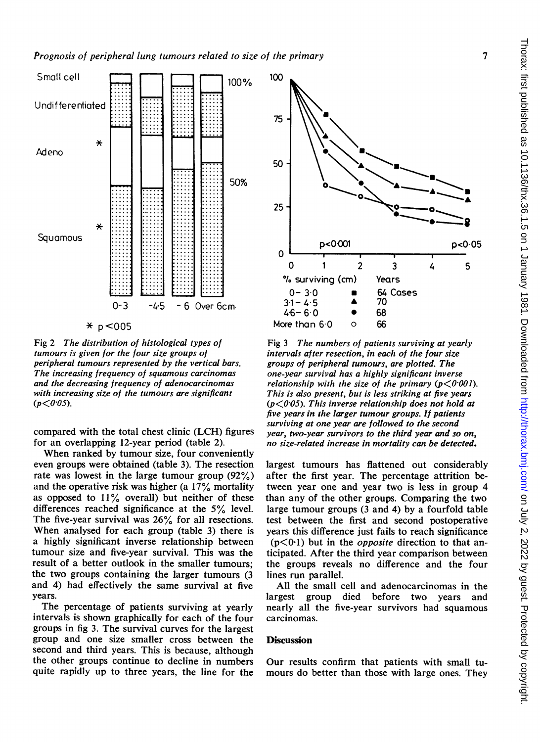

Fig 2 The distribution of histological types of tumours is given for the four size groups of peripheral tumours represented by the vertical bars. The increasing frequency of squamous carcinomas and the decreasing frequency of adenocarcinomas with increasing size of the tumours are significant  $(p < 0.05)$ .

compared with the total chest clinic (LCH) figures for an overlapping 12-year period (table 2).

When ranked by tumour size, four conveniently even groups were obtained (table 3). The resection rate was lowest in the large tumour group  $(92\%)$ and the operative risk was higher (a  $17\%$  mortality as opposed to  $11\%$  overall) but neither of these differences reached significance at the 5% level. The five-year survival was 26% for all resections. When analysed for each group (table 3) there is a highly significant inverse relationship between tumour size and five-year survival. This was the result of a better outlook in the smaller tumours: the two groups containing the larger tumours (3) and 4) had effectively the same survival at five years.

The percentage of patients surviving at yearly intervals is shown graphically for each of the four groups in fig 3. The survival curves for the largest group and one size smaller cross between the second and third years. This is because, although the other groups continue to decline in numbers quite rapidly up to three years, the line for the



Fig 3 The numbers of patients surviving at yearly intervals after resection, in each of the four size groups of peripheral tumours, are plotted. The one-year survival has a highly significant inverse relationship with the size of the primary  $(p < 0.001)$ . This is also present, but is less striking at five years  $(p < 0.05)$ . This inverse relationship does not hold at five years in the larger tumour groups. If patients surviving at one year are followed to the second year, two-year survivors to the third year and so on, no size-related increase in mortality can be detected.

largest tumours has flattened out considerably after the first year. The percentage attrition between year one and year two is less in group 4 than any of the other groups. Comparing the two large tumour groups (3 and 4) by a fourfold table test between the first and second postoperative years this difference just fails to reach significance  $(p<0.1)$  but in the *opposite* direction to that anticipated. After the third year comparison between the groups reveals no difference and the four lines run parallel.

All the small cell and adenocarcinomas in the largest group died before two years and nearly all the five-year survivors had squamous carcinomas.

## **Discussion**

Our results confirm that patients with small tumours do better than those with large ones. They